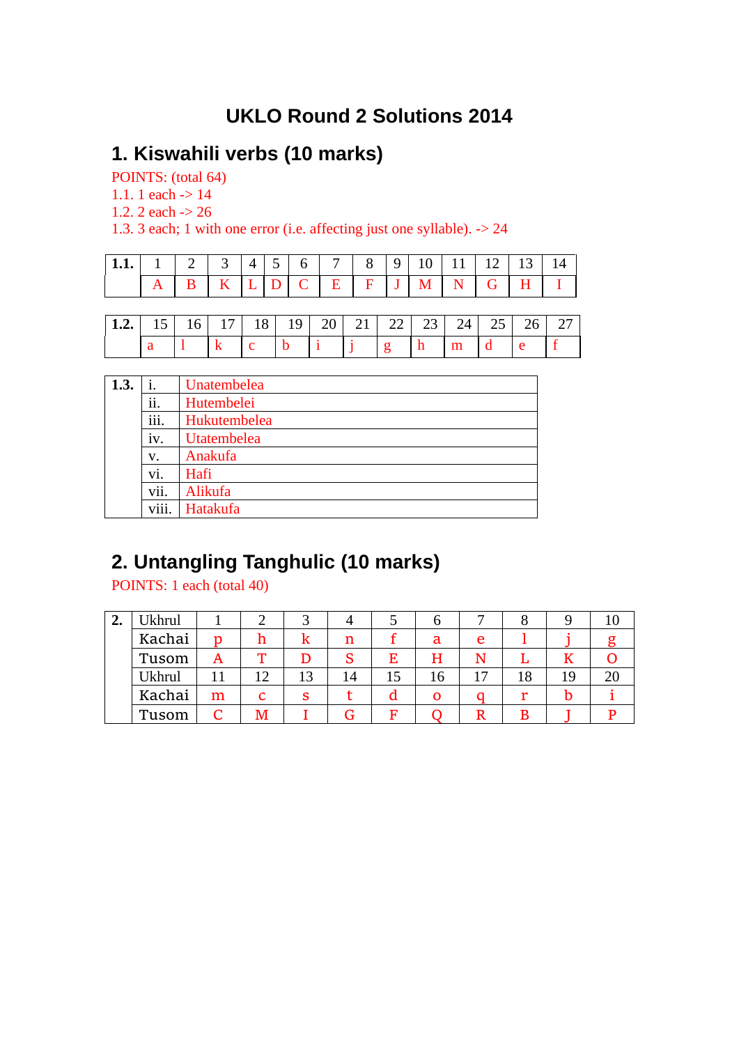### **UKLO Round 2 Solutions 2014**

#### **1. Kiswahili verbs (10 marks)**

POINTS: (total 64)

- 1.1. 1 each -> 14
- 1.2. 2 each -> 26

1.3. 3 each; 1 with one error (i.e. affecting just one syllable). -> 24

| <b>1.1.</b>   $1 \mid 2 \mid 3 \mid 4 \mid 5 \mid 6 \mid 7 \mid 8 \mid 9 \mid 10 \mid 11 \mid 12 \mid 13 \mid 14 \mid$ |  |  |  |  |  |  |                                                         |
|------------------------------------------------------------------------------------------------------------------------|--|--|--|--|--|--|---------------------------------------------------------|
|                                                                                                                        |  |  |  |  |  |  | $A$ $B$ $K$ $L$ $D$ $C$ $E$ $F$ $J$ $M$ $N$ $G$ $H$ $I$ |

| $1.2.$ 15 | 16 <sub>1</sub> | $17$   18   3 |  | $19 \mid 20 \mid 21 \mid 22 \mid 23 \mid 24 \mid 25 \mid$ |   |   |   | 26 I |  |
|-----------|-----------------|---------------|--|-----------------------------------------------------------|---|---|---|------|--|
|           |                 |               |  |                                                           | ≂ | п | m |      |  |

| 1.3. |       | Unatembelea  |
|------|-------|--------------|
|      | ii.   | Hutembelei   |
|      | iii.  | Hukutembelea |
|      | iv.   | Utatembelea  |
|      | V.    | Anakufa      |
|      | vi.   | Hafi         |
|      | vii.  | Alikufa      |
|      | viii. | Hatakufa     |

## **2. Untangling Tanghulic (10 marks)**

POINTS: 1 each (total 40)

| " | Ukhrul |   |    |    |    |       |    |   |    |    |  |
|---|--------|---|----|----|----|-------|----|---|----|----|--|
|   | Kachai | n |    |    | n  |       | a  | e |    |    |  |
|   | Tusom  | A | ௱  |    | C  | F.    | н  |   |    |    |  |
|   | Ukhrul |   | ⊥າ | 13 | 14 | I . J | 16 |   | 18 | 19 |  |
|   | Kachai | m | С  | s  |    |       |    |   |    |    |  |
|   | Tusom  |   |    |    |    |       |    |   |    |    |  |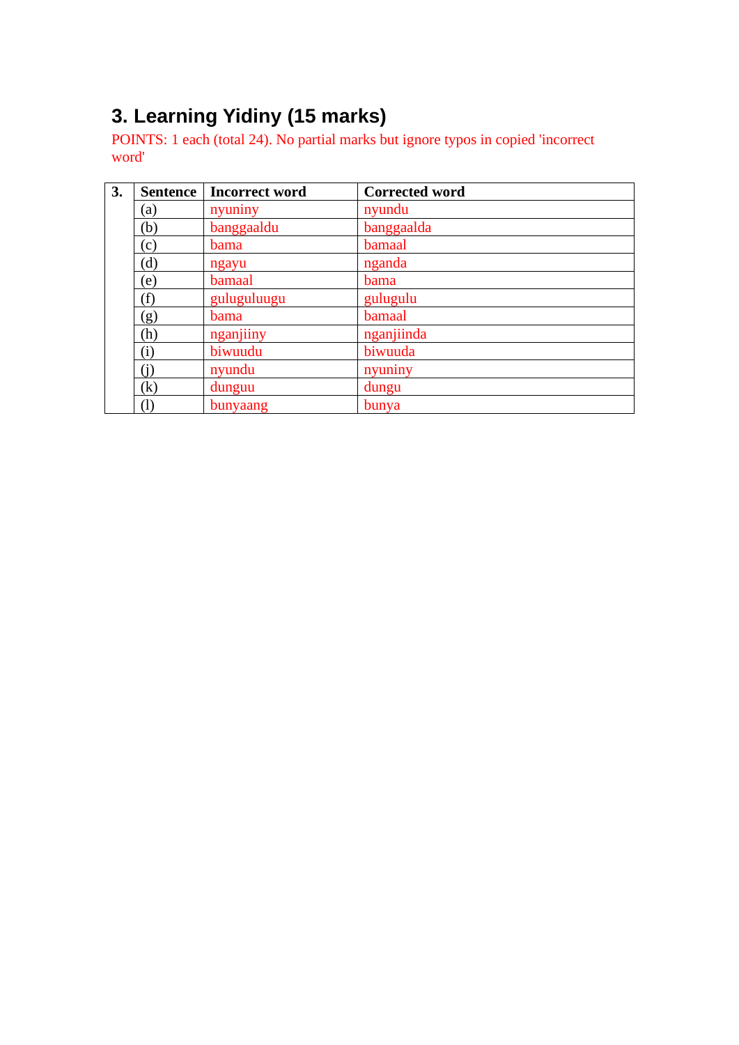# **3. Learning Yidiny (15 marks)**

POINTS: 1 each (total 24). No partial marks but ignore typos in copied 'incorrect word'

| 3. | <b>Sentence</b>  | <b>Incorrect word</b> | <b>Corrected word</b> |
|----|------------------|-----------------------|-----------------------|
|    | (a)              | nyuniny               | nyundu                |
|    | (b)              | banggaaldu            | banggaalda            |
|    | (c)              | bama                  | bamaal                |
|    | (d)              | ngayu                 | nganda                |
|    | (e)              | bamaal                | bama                  |
|    | (f)              | guluguluugu           | gulugulu              |
|    | (g)              | bama                  | bamaal                |
|    | (h)              | nganjiiny             | nganjiinda            |
|    | (i)              | biwuudu               | biwuuda               |
|    | (i)              | nyundu                | nyuniny               |
|    | $\rm(k)$         | dunguu                | dungu                 |
|    | $\left(1\right)$ | bunyaang              | bunya                 |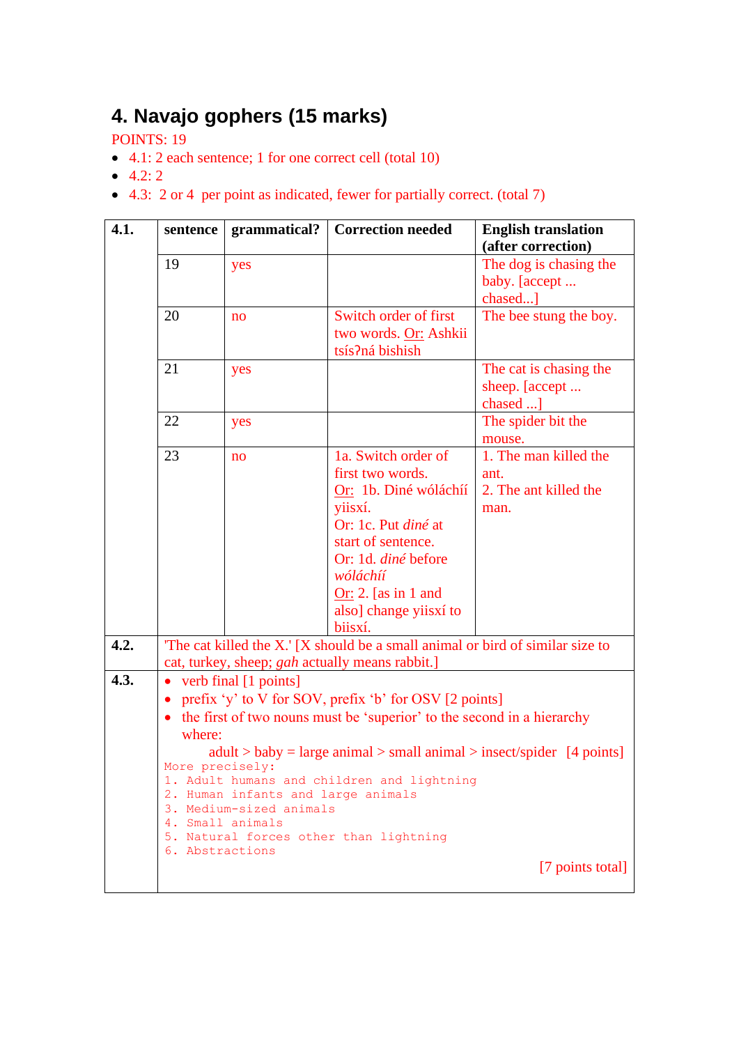## **4. Navajo gophers (15 marks)**

POINTS: 19

- 4.1: 2 each sentence; 1 for one correct cell (total 10)
- $4.2:2$
- 4.3: 2 or 4 per point as indicated, fewer for partially correct. (total 7)

| 4.1. | sentence                                     | grammatical?                                                                                                           | <b>Correction needed</b>                                                                                                                                                                                                                                                                                                                                    | <b>English translation</b><br>(after correction)                        |
|------|----------------------------------------------|------------------------------------------------------------------------------------------------------------------------|-------------------------------------------------------------------------------------------------------------------------------------------------------------------------------------------------------------------------------------------------------------------------------------------------------------------------------------------------------------|-------------------------------------------------------------------------|
|      | 19                                           | yes                                                                                                                    |                                                                                                                                                                                                                                                                                                                                                             | The dog is chasing the<br>baby. [accept<br>chased]                      |
|      | 20                                           | no                                                                                                                     | Switch order of first<br>two words. Or: Ashkii<br>tsís?ná bishish                                                                                                                                                                                                                                                                                           | The bee stung the boy.                                                  |
|      | 21                                           | yes                                                                                                                    |                                                                                                                                                                                                                                                                                                                                                             | The cat is chasing the<br>sheep. [accept<br>chased ]                    |
|      | 22                                           | yes                                                                                                                    |                                                                                                                                                                                                                                                                                                                                                             | The spider bit the<br>mouse.                                            |
| 4.2. | 23                                           | no                                                                                                                     | 1a. Switch order of<br>first two words.<br>Or: 1b. Diné wóláchíí<br>yiisxí.<br>Or: 1c. Put diné at<br>start of sentence.<br>Or: 1d. diné before<br>wóláchíí<br>Or: 2. [as in 1 and<br>also] change yiisxí to<br>biisxí.<br>The cat killed the X.' [X should be a small animal or bird of similar size to<br>cat, turkey, sheep; gah actually means rabbit.] | 1. The man killed the<br>ant.<br>2. The ant killed the<br>man.          |
| 4.3. | where:<br>More precisely:<br>6. Abstractions | • verb final $[1 \text{ points}]$<br>2. Human infants and large animals<br>3. Medium-sized animals<br>4. Small animals | • prefix 'y' to V for SOV, prefix 'b' for OSV [2 points]<br>the first of two nouns must be 'superior' to the second in a hierarchy<br>1. Adult humans and children and lightning<br>5. Natural forces other than lightning                                                                                                                                  | $adult >$ baby = large animal > small animal > insect/spider [4 points] |
|      |                                              |                                                                                                                        |                                                                                                                                                                                                                                                                                                                                                             | [7 points total]                                                        |